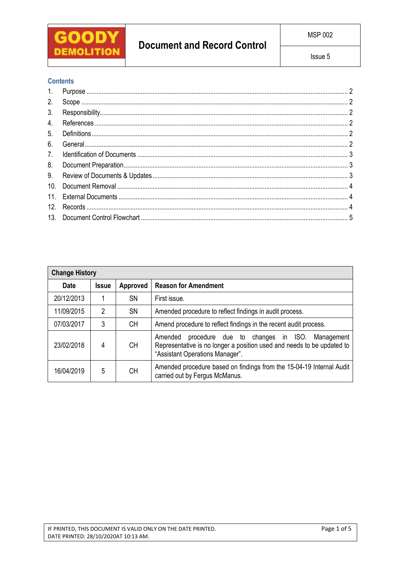

# **Document and Record Control**

## **Contents**

| 1.              |  |
|-----------------|--|
| 2.              |  |
| 3.              |  |
| 4.              |  |
| 5.              |  |
| 6.              |  |
| 7 <sub>1</sub>  |  |
| 8.              |  |
| 9.              |  |
| 10 <sub>1</sub> |  |
|                 |  |
| 12.             |  |
|                 |  |

| <b>Change History</b> |              |           |                                                                                                                                                                        |  |  |  |  |
|-----------------------|--------------|-----------|------------------------------------------------------------------------------------------------------------------------------------------------------------------------|--|--|--|--|
| <b>Date</b>           | <b>Issue</b> | Approved  | <b>Reason for Amendment</b>                                                                                                                                            |  |  |  |  |
| 20/12/2013            |              | <b>SN</b> | First issue.                                                                                                                                                           |  |  |  |  |
| 11/09/2015            | 2            | <b>SN</b> | Amended procedure to reflect findings in audit process.                                                                                                                |  |  |  |  |
| 07/03/2017            | 3            | CН        | Amend procedure to reflect findings in the recent audit process.                                                                                                       |  |  |  |  |
| 23/02/2018            | 4            | CН        | procedure due to changes in ISO.<br>Amended<br>Management<br>Representative is no longer a position used and needs to be updated to<br>"Assistant Operations Manager". |  |  |  |  |
| 16/04/2019            | 5            | CН        | Amended procedure based on findings from the 15-04-19 Internal Audit<br>carried out by Fergus McManus.                                                                 |  |  |  |  |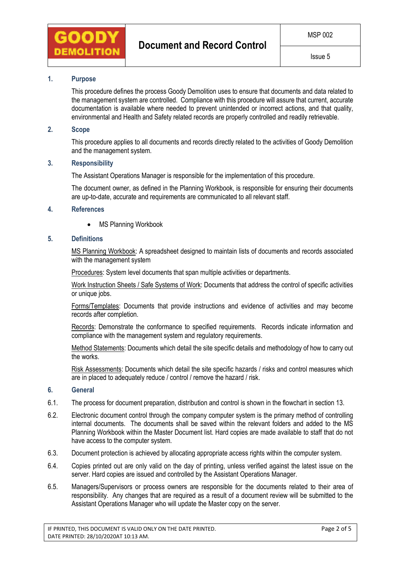

## **1. Purpose**

This procedure defines the process Goody Demolition uses to ensure that documents and data related to the management system are controlled. Compliance with this procedure will assure that current, accurate documentation is available where needed to prevent unintended or incorrect actions, and that quality, environmental and Health and Safety related records are properly controlled and readily retrievable.

## **2. Scope**

This procedure applies to all documents and records directly related to the activities of Goody Demolition and the management system.

#### **3. Responsibility**

The Assistant Operations Manager is responsible for the implementation of this procedure.

The document owner, as defined in the Planning Workbook, is responsible for ensuring their documents are up-to-date, accurate and requirements are communicated to all relevant staff.

#### **4. References**

• MS Planning Workbook

### **5. Definitions**

MS Planning Workbook: A spreadsheet designed to maintain lists of documents and records associated with the management system

Procedures: System level documents that span multiple activities or departments.

Work Instruction Sheets / Safe Systems of Work: Documents that address the control of specific activities or unique jobs.

Forms/Templates: Documents that provide instructions and evidence of activities and may become records after completion.

Records: Demonstrate the conformance to specified requirements. Records indicate information and compliance with the management system and regulatory requirements.

Method Statements: Documents which detail the site specific details and methodology of how to carry out the works.

Risk Assessments: Documents which detail the site specific hazards / risks and control measures which are in placed to adequately reduce / control / remove the hazard / risk.

#### **6. General**

- 6.1. The process for document preparation, distribution and control is shown in the flowchart in section 13.
- 6.2. Electronic document control through the company computer system is the primary method of controlling internal documents. The documents shall be saved within the relevant folders and added to the MS Planning Workbook within the Master Document list. Hard copies are made available to staff that do not have access to the computer system.
- 6.3. Document protection is achieved by allocating appropriate access rights within the computer system.
- 6.4. Copies printed out are only valid on the day of printing, unless verified against the latest issue on the server. Hard copies are issued and controlled by the Assistant Operations Manager.
- 6.5. Managers/Supervisors or process owners are responsible for the documents related to their area of responsibility. Any changes that are required as a result of a document review will be submitted to the Assistant Operations Manager who will update the Master copy on the server.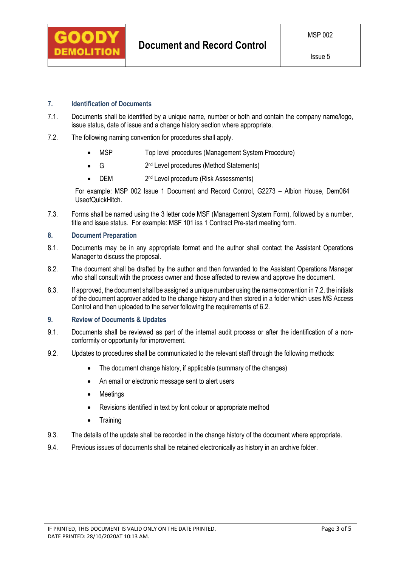

## **7. Identification of Documents**

- 7.1. Documents shall be identified by a unique name, number or both and contain the company name/logo, issue status, date of issue and a change history section where appropriate.
- 7.2. The following naming convention for procedures shall apply.
	- MSP Top level procedures (Management System Procedure)
	- $\bullet$  G 2 2<sup>nd</sup> Level procedures (Method Statements)
	- $\bullet$  DEM 2<sup>nd</sup> Level procedure (Risk Assessments)

For example: MSP 002 Issue 1 Document and Record Control, G2273 – Albion House, Dem064 UseofQuickHitch.

7.3. Forms shall be named using the 3 letter code MSF (Management System Form), followed by a number, title and issue status. For example: MSF 101 iss 1 Contract Pre-start meeting form.

#### **8. Document Preparation**

- 8.1. Documents may be in any appropriate format and the author shall contact the Assistant Operations Manager to discuss the proposal.
- 8.2. The document shall be drafted by the author and then forwarded to the Assistant Operations Manager who shall consult with the process owner and those affected to review and approve the document.
- 8.3. If approved, the document shall be assigned a unique number using the name convention in 7.2, the initials of the document approver added to the change history and then stored in a folder which uses MS Access Control and then uploaded to the server following the requirements of 6.2.

#### **9. Review of Documents & Updates**

- 9.1. Documents shall be reviewed as part of the internal audit process or after the identification of a nonconformity or opportunity for improvement.
- 9.2. Updates to procedures shall be communicated to the relevant staff through the following methods:
	- The document change history, if applicable (summary of the changes)
	- An email or electronic message sent to alert users
	- Meetings
	- Revisions identified in text by font colour or appropriate method
	- Training
- 9.3. The details of the update shall be recorded in the change history of the document where appropriate.
- 9.4. Previous issues of documents shall be retained electronically as history in an archive folder.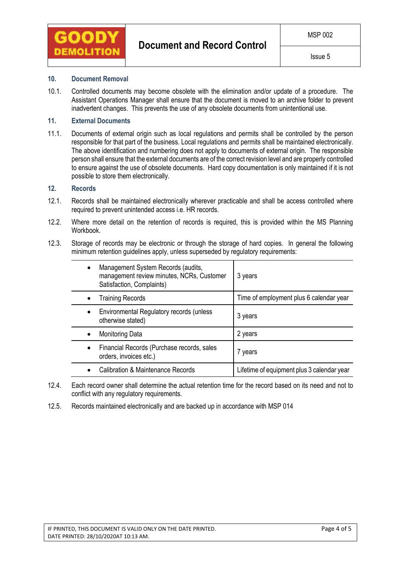

### **10. Document Removal**

10.1. Controlled documents may become obsolete with the elimination and/or update of a procedure. The Assistant Operations Manager shall ensure that the document is moved to an archive folder to prevent inadvertent changes. This prevents the use of any obsolete documents from unintentional use.

## **11. External Documents**

11.1. Documents of external origin such as local regulations and permits shall be controlled by the person responsible for that part of the business. Local regulations and permits shall be maintained electronically. The above identification and numbering does not apply to documents of external origin. The responsible person shall ensure that the external documents are of the correct revision level and are properly controlled to ensure against the use of obsolete documents. Hard copy documentation is only maintained if it is not possible to store them electronically.

## **12. Records**

- 12.1. Records shall be maintained electronically wherever practicable and shall be access controlled where required to prevent unintended access i.e. HR records.
- 12.2. Where more detail on the retention of records is required, this is provided within the MS Planning Workbook.
- 12.3. Storage of records may be electronic or through the storage of hard copies. In general the following minimum retention guidelines apply, unless superseded by regulatory requirements:

|   | Management System Records (audits,<br>management review minutes, NCRs, Customer<br>Satisfaction, Complaints) | 3 years                                    |
|---|--------------------------------------------------------------------------------------------------------------|--------------------------------------------|
|   | <b>Training Records</b>                                                                                      | Time of employment plus 6 calendar year    |
|   | Environmental Regulatory records (unless<br>otherwise stated)                                                | 3 years                                    |
|   | <b>Monitoring Data</b>                                                                                       | 2 years                                    |
| ٠ | Financial Records (Purchase records, sales<br>orders, invoices etc.)                                         | 7 years                                    |
|   | <b>Calibration &amp; Maintenance Records</b>                                                                 | Lifetime of equipment plus 3 calendar year |

- 12.4. Each record owner shall determine the actual retention time for the record based on its need and not to conflict with any regulatory requirements.
- 12.5. Records maintained electronically and are backed up in accordance with MSP 014